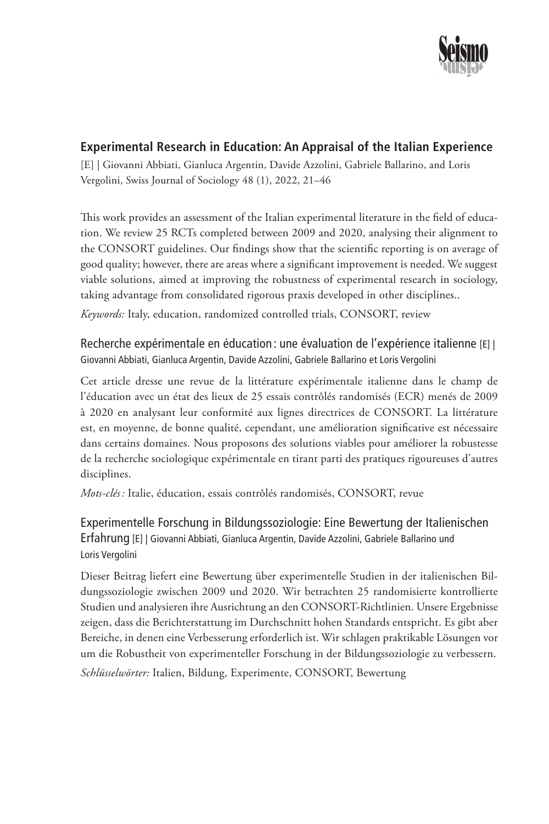

# **Experimental Research in Education: An Appraisal of the Italian Experience**

[E] | Giovanni Abbiati, Gianluca Argentin, Davide Azzolini, Gabriele Ballarino, and Loris Vergolini, Swiss Journal of Sociology 48 (1), 2022, 21–46

This work provides an assessment of the Italian experimental literature in the field of education. We review 25 RCTs completed between 2009 and 2020, analysing their alignment to the CONSORT guidelines. Our findings show that the scientific reporting is on average of good quality; however, there are areas where a significant improvement is needed. We suggest viable solutions, aimed at improving the robustness of experimental research in sociology, taking advantage from consolidated rigorous praxis developed in other disciplines..

*Keywords:* Italy, education, randomized controlled trials, CONSORT, review

Recherche expérimentale en éducation : une évaluation de l'expérience italienne [E] | Giovanni Abbiati, Gianluca Argentin, Davide Azzolini, Gabriele Ballarino et Loris Vergolini

Cet article dresse une revue de la littérature expérimentale italienne dans le champ de l'éducation avec un état des lieux de 25 essais contrôlés randomisés (ECR) menés de 2009 à 2020 en analysant leur conformité aux lignes directrices de CONSORT. La littérature est, en moyenne, de bonne qualité, cependant, une amélioration significative est nécessaire dans certains domaines. Nous proposons des solutions viables pour améliorer la robustesse de la recherche sociologique expérimentale en tirant parti des pratiques rigoureuses d'autres disciplines.

*Mots-clés :* Italie, éducation, essais contrôlés randomisés, CONSORT, revue

Experimentelle Forschung in Bildungssoziologie: Eine Bewertung der Italienischen Erfahrung [E] | Giovanni Abbiati, Gianluca Argentin, Davide Azzolini, Gabriele Ballarino und Loris Vergolini

Dieser Beitrag liefert eine Bewertung über experimentelle Studien in der italienischen Bildungssoziologie zwischen 2009 und 2020. Wir betrachten 25 randomisierte kontrollierte Studien und analysieren ihre Ausrichtung an den CONSORT-Richtlinien. Unsere Ergebnisse zeigen, dass die Berichterstattung im Durchschnitt hohen Standards entspricht. Es gibt aber Bereiche, in denen eine Verbesserung erforderlich ist. Wir schlagen praktikable Lösungen vor um die Robustheit von experimenteller Forschung in der Bildungssoziologie zu verbessern. *Schlüsselwörter:* Italien, Bildung, Experimente, CONSORT, Bewertung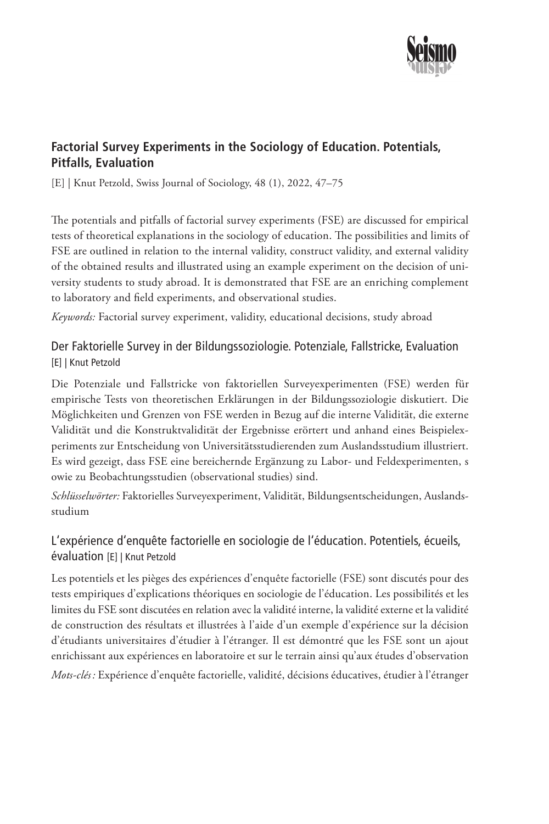

# **Factorial Survey Experiments in the Sociology of Education. Potentials, Pitfalls, Evaluation**

[E] | Knut Petzold, Swiss Journal of Sociology, 48 (1), 2022, 47–75

The potentials and pitfalls of factorial survey experiments (FSE) are discussed for empirical tests of theoretical explanations in the sociology of education. The possibilities and limits of FSE are outlined in relation to the internal validity, construct validity, and external validity of the obtained results and illustrated using an example experiment on the decision of university students to study abroad. It is demonstrated that FSE are an enriching complement to laboratory and field experiments, and observational studies.

*Keywords:* Factorial survey experiment, validity, educational decisions, study abroad

## Der Faktorielle Survey in der Bildungssoziologie. Potenziale, Fallstricke, Evaluation [E] | Knut Petzold

Die Potenziale und Fallstricke von faktoriellen Surveyexperimenten (FSE) werden für empirische Tests von theoretischen Erklärungen in der Bildungssoziologie diskutiert. Die Möglichkeiten und Grenzen von FSE werden in Bezug auf die interne Validität, die externe Validität und die Konstruktvalidität der Ergebnisse erörtert und anhand eines Beispielexperiments zur Entscheidung von Universitätsstudierenden zum Auslandsstudium illustriert. Es wird gezeigt, dass FSE eine bereichernde Ergänzung zu Labor- und Feldexperimenten, s owie zu Beobachtungsstudien (observational studies) sind.

*Schlüsselwörter:* Faktorielles Surveyexperiment, Validität, Bildungsentscheidungen, Auslandsstudium

# L'expérience d'enquête factorielle en sociologie de l'éducation. Potentiels, écueils, évaluation [E] | Knut Petzold

Les potentiels et les pièges des expériences d'enquête factorielle (FSE) sont discutés pour des tests empiriques d'explications théoriques en sociologie de l'éducation. Les possibilités et les limites du FSE sont discutées en relation avec la validité interne, la validité externe et la validité de construction des résultats et illustrées à l'aide d'un exemple d'expérience sur la décision d'étudiants universitaires d'étudier à l'étranger. Il est démontré que les FSE sont un ajout enrichissant aux expériences en laboratoire et sur le terrain ainsi qu'aux études d'observation *Mots-clés :* Expérience d'enquête factorielle, validité, décisions éducatives, étudier à l'étranger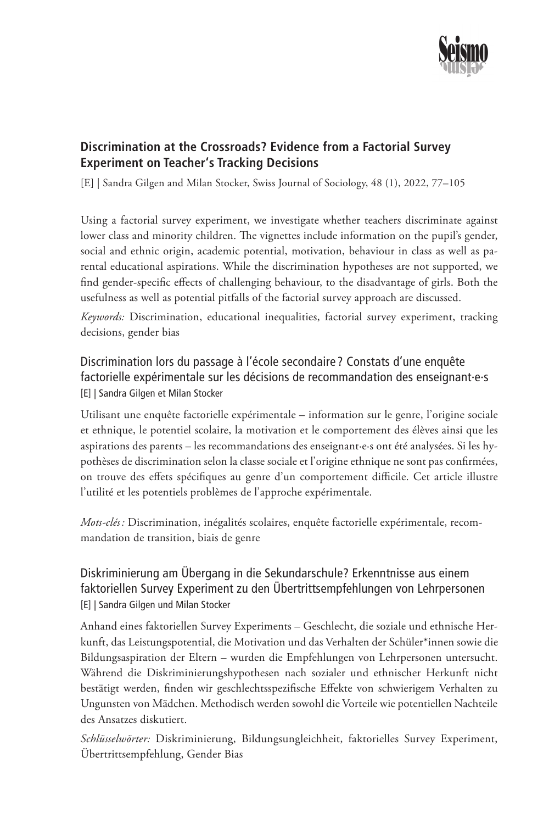

# **Discrimination at the Crossroads? Evidence from a Factorial Survey Experiment on Teacher's Tracking Decisions**

[E] | Sandra Gilgen and Milan Stocker, Swiss Journal of Sociology, 48 (1), 2022, 77–105

Using a factorial survey experiment, we investigate whether teachers discriminate against lower class and minority children. The vignettes include information on the pupil's gender, social and ethnic origin, academic potential, motivation, behaviour in class as well as parental educational aspirations. While the discrimination hypotheses are not supported, we find gender-specific effects of challenging behaviour, to the disadvantage of girls. Both the usefulness as well as potential pitfalls of the factorial survey approach are discussed.

*Keywords:* Discrimination, educational inequalities, factorial survey experiment, tracking decisions, gender bias

Discrimination lors du passage à l'école secondaire ? Constats d'une enquête factorielle expérimentale sur les décisions de recommandation des enseignant·e·s [E] | Sandra Gilgen et Milan Stocker

Utilisant une enquête factorielle expérimentale – information sur le genre, l'origine sociale et ethnique, le potentiel scolaire, la motivation et le comportement des élèves ainsi que les aspirations des parents – les recommandations des enseignant·e·s ont été analysées. Si les hypothèses de discrimination selon la classe sociale et l'origine ethnique ne sont pas confirmées, on trouve des effets spécifiques au genre d'un comportement difficile. Cet article illustre l'utilité et les potentiels problèmes de l'approche expérimentale.

*Mots-clés :* Discrimination, inégalités scolaires, enquête factorielle expérimentale, recommandation de transition, biais de genre

#### Diskriminierung am Übergang in die Sekundarschule? Erkenntnisse aus einem faktoriellen Survey Experiment zu den Übertrittsempfehlungen von Lehrpersonen [E] | Sandra Gilgen und Milan Stocker

Anhand eines faktoriellen Survey Experiments – Geschlecht, die soziale und ethnische Herkunft, das Leistungspotential, die Motivation und das Verhalten der Schüler\*innen sowie die Bildungsaspiration der Eltern – wurden die Empfehlungen von Lehrpersonen untersucht. Während die Diskriminierungshypothesen nach sozialer und ethnischer Herkunft nicht bestätigt werden, finden wir geschlechtsspezifische Effekte von schwierigem Verhalten zu Ungunsten von Mädchen. Methodisch werden sowohl die Vorteile wie potentiellen Nachteile des Ansatzes diskutiert.

*Schlüsselwörter:* Diskriminierung, Bildungsungleichheit, faktorielles Survey Experiment, Übertrittsempfehlung, Gender Bias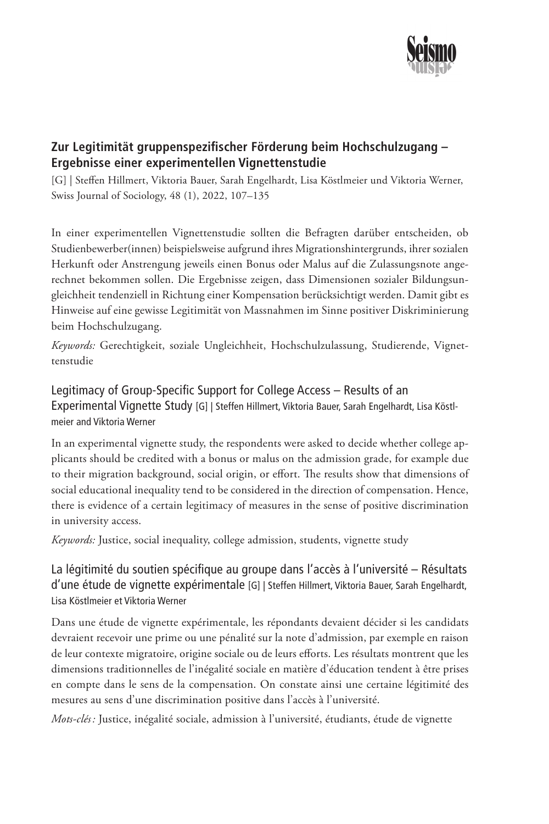

## **Zur Legitimität gruppenspezifischer Förderung beim Hochschulzugang – Ergebnisse einer experimentellen Vignettenstudie**

[G] | Steffen Hillmert, Viktoria Bauer, Sarah Engelhardt, Lisa Köstlmeier und Viktoria Werner, Swiss Journal of Sociology, 48 (1), 2022, 107–135

In einer experimentellen Vignettenstudie sollten die Befragten darüber entscheiden, ob Studienbewerber(innen) beispielsweise aufgrund ihres Migrationshintergrunds, ihrer sozialen Herkunft oder Anstrengung jeweils einen Bonus oder Malus auf die Zulassungsnote angerechnet bekommen sollen. Die Ergebnisse zeigen, dass Dimensionen sozialer Bildungsungleichheit tendenziell in Richtung einer Kompensation berücksichtigt werden. Damit gibt es Hinweise auf eine gewisse Legitimität von Massnahmen im Sinne positiver Diskriminierung beim Hochschulzugang.

*Keywords:* Gerechtigkeit, soziale Ungleichheit, Hochschulzulassung, Studierende, Vignettenstudie

Legitimacy of Group-Specific Support for College Access – Results of an Experimental Vignette Study [G] | Steffen Hillmert, Viktoria Bauer, Sarah Engelhardt, Lisa Köstlmeier and Viktoria Werner

In an experimental vignette study, the respondents were asked to decide whether college applicants should be credited with a bonus or malus on the admission grade, for example due to their migration background, social origin, or effort. The results show that dimensions of social educational inequality tend to be considered in the direction of compensation. Hence, there is evidence of a certain legitimacy of measures in the sense of positive discrimination in university access.

*Keywords:* Justice, social inequality, college admission, students, vignette study

### La légitimité du soutien spécifique au groupe dans l'accès à l'université – Résultats d'une étude de vignette expérimentale [G] | Steffen Hillmert, Viktoria Bauer, Sarah Engelhardt, Lisa Köstlmeier et Viktoria Werner

Dans une étude de vignette expérimentale, les répondants devaient décider si les candidats devraient recevoir une prime ou une pénalité sur la note d'admission, par exemple en raison de leur contexte migratoire, origine sociale ou de leurs efforts. Les résultats montrent que les dimensions traditionnelles de l'inégalité sociale en matière d'éducation tendent à être prises en compte dans le sens de la compensation. On constate ainsi une certaine légitimité des mesures au sens d'une discrimination positive dans l'accès à l'université.

*Mots-clés :* Justice, inégalité sociale, admission à l'université, étudiants, étude de vignette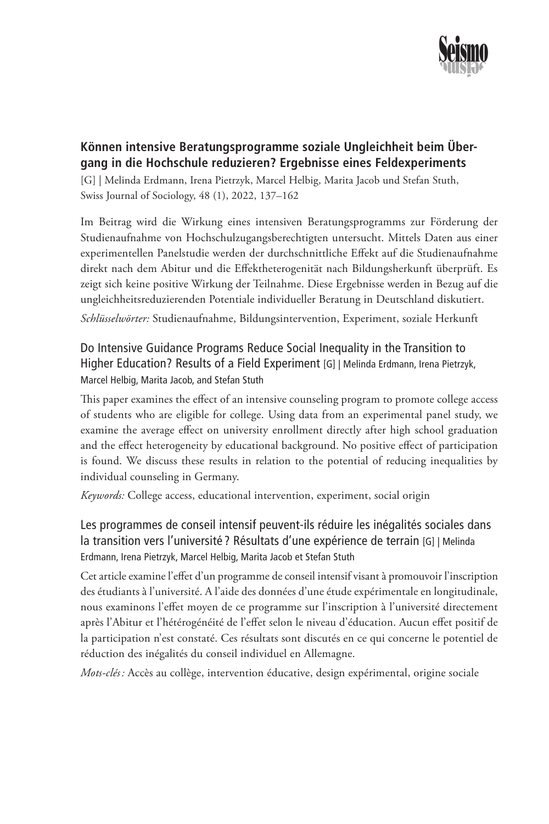

## **Können intensive Beratungsprogramme soziale Ungleichheit beim Übergang in die Hochschule reduzieren? Ergebnisse eines Feldexperiments**

[G] | Melinda Erdmann, Irena Pietrzyk, Marcel Helbig, Marita Jacob und Stefan Stuth, Swiss Journal of Sociology, 48 (1), 2022, 137–162

Im Beitrag wird die Wirkung eines intensiven Beratungsprogramms zur Förderung der Studienaufnahme von Hochschulzugangsberechtigten untersucht. Mittels Daten aus einer experimentellen Panelstudie werden der durchschnittliche Effekt auf die Studienaufnahme direkt nach dem Abitur und die Effektheterogenität nach Bildungsherkunft überprüft. Es zeigt sich keine positive Wirkung der Teilnahme. Diese Ergebnisse werden in Bezug auf die ungleichheitsreduzierenden Potentiale individueller Beratung in Deutschland diskutiert.

*Schlüsselwörter:* Studienaufnahme, Bildungsintervention, Experiment, soziale Herkunft

Do Intensive Guidance Programs Reduce Social Inequality in the Transition to Higher Education? Results of a Field Experiment [G] | Melinda Erdmann, Irena Pietrzyk, Marcel Helbig, Marita Jacob, and Stefan Stuth

This paper examines the effect of an intensive counseling program to promote college access of students who are eligible for college. Using data from an experimental panel study, we examine the average effect on university enrollment directly after high school graduation and the effect heterogeneity by educational background. No positive effect of participation is found. We discuss these results in relation to the potential of reducing inequalities by individual counseling in Germany.

*Keywords:* College access, educational intervention, experiment, social origin

Les programmes de conseil intensif peuvent-ils réduire les inégalités sociales dans la transition vers l'université ? Résultats d'une expérience de terrain [G] | Melinda Erdmann, Irena Pietrzyk, Marcel Helbig, Marita Jacob et Stefan Stuth

Cet article examine l'effet d'un programme de conseil intensif visant à promouvoir l'inscription des étudiants à l'université. A l'aide des données d'une étude expérimentale en longitudinale, nous examinons l'effet moyen de ce programme sur l'inscription à l'université directement après l'Abitur et l'hétérogénéité de l'effet selon le niveau d'éducation. Aucun effet positif de la participation n'est constaté. Ces résultats sont discutés en ce qui concerne le potentiel de réduction des inégalités du conseil individuel en Allemagne.

*Mots-clés :* Accès au collège, intervention éducative, design expérimental, origine sociale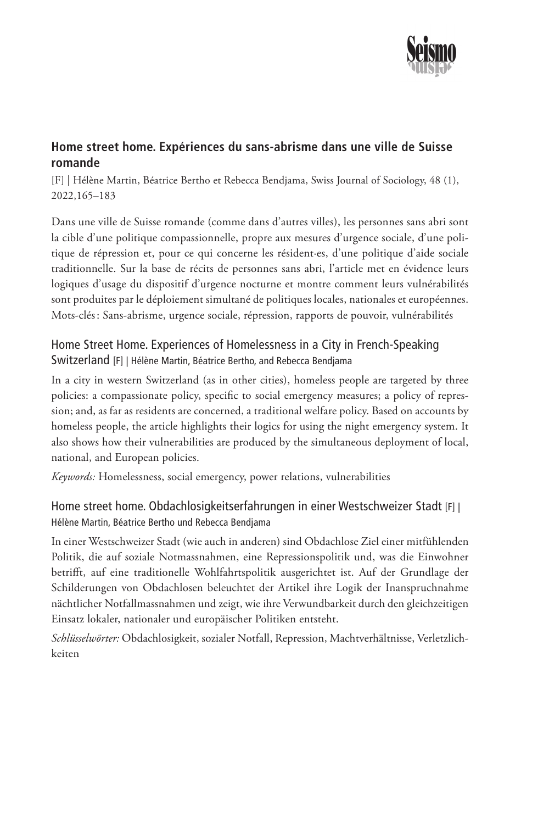

# **Home street home. Expériences du sans-abrisme dans une ville de Suisse romande**

[F] | Hélène Martin, Béatrice Bertho et Rebecca Bendjama, Swiss Journal of Sociology, 48 (1), 2022,165–183

Dans une ville de Suisse romande (comme dans d'autres villes), les personnes sans abri sont la cible d'une politique compassionnelle, propre aux mesures d'urgence sociale, d'une politique de répression et, pour ce qui concerne les résident·es, d'une politique d'aide sociale traditionnelle. Sur la base de récits de personnes sans abri, l'article met en évidence leurs logiques d'usage du dispositif d'urgence nocturne et montre comment leurs vulnérabilités sont produites par le déploiement simultané de politiques locales, nationales et européennes. Mots-clés: Sans-abrisme, urgence sociale, répression, rapports de pouvoir, vulnérabilités

#### Home Street Home. Experiences of Homelessness in a City in French-Speaking Switzerland [F] | Hélène Martin, Béatrice Bertho, and Rebecca Bendjama

In a city in western Switzerland (as in other cities), homeless people are targeted by three policies: a compassionate policy, specific to social emergency measures; a policy of repression; and, as far as residents are concerned, a traditional welfare policy. Based on accounts by homeless people, the article highlights their logics for using the night emergency system. It also shows how their vulnerabilities are produced by the simultaneous deployment of local, national, and European policies.

*Keywords:* Homelessness, social emergency, power relations, vulnerabilities

#### Home street home. Obdachlosigkeitserfahrungen in einer Westschweizer Stadt [F] | Hélène Martin, Béatrice Bertho und Rebecca Bendjama

In einer Westschweizer Stadt (wie auch in anderen) sind Obdachlose Ziel einer mitfühlenden Politik, die auf soziale Notmassnahmen, eine Repressionspolitik und, was die Einwohner betrifft, auf eine traditionelle Wohlfahrtspolitik ausgerichtet ist. Auf der Grundlage der Schilderungen von Obdachlosen beleuchtet der Artikel ihre Logik der Inanspruchnahme nächtlicher Notfallmassnahmen und zeigt, wie ihre Verwundbarkeit durch den gleichzeitigen Einsatz lokaler, nationaler und europäischer Politiken entsteht.

*Schlüsselwörter:* Obdachlosigkeit, sozialer Notfall, Repression, Machtverhältnisse, Verletzlichkeiten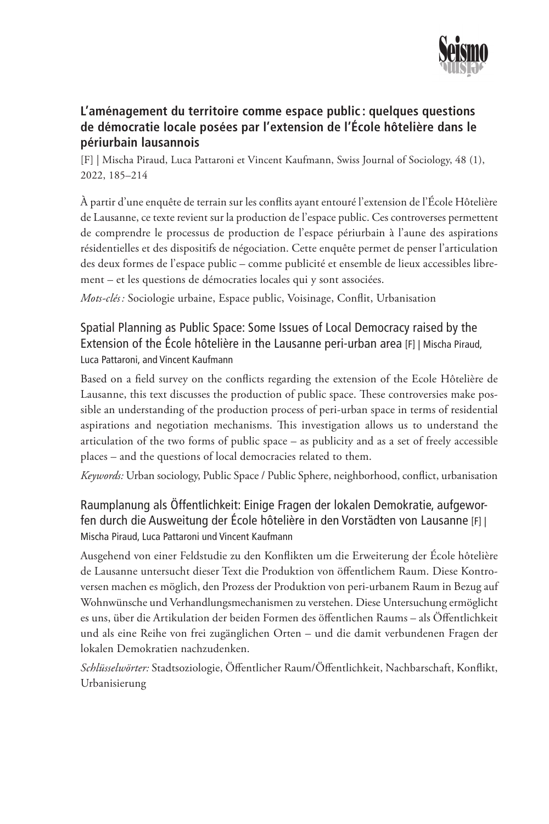

#### **L'aménagement du territoire comme espace public : quelques questions de démocratie locale posées par l'extension de l'École hôtelière dans le périurbain lausannois**

[F] | Mischa Piraud, Luca Pattaroni et Vincent Kaufmann, Swiss Journal of Sociology, 48 (1), 2022, 185–214

À partir d'une enquête de terrain sur les conflits ayant entouré l'extension de l'École Hôtelière de Lausanne, ce texte revient sur la production de l'espace public. Ces controverses permettent de comprendre le processus de production de l'espace périurbain à l'aune des aspirations résidentielles et des dispositifs de négociation. Cette enquête permet de penser l'articulation des deux formes de l'espace public – comme publicité et ensemble de lieux accessibles librement – et les questions de démocraties locales qui y sont associées.

*Mots-clés :* Sociologie urbaine, Espace public, Voisinage, Conflit, Urbanisation

Spatial Planning as Public Space: Some Issues of Local Democracy raised by the Extension of the École hôtelière in the Lausanne peri-urban area [F] | Mischa Piraud, Luca Pattaroni, and Vincent Kaufmann

Based on a field survey on the conflicts regarding the extension of the Ecole Hôtelière de Lausanne, this text discusses the production of public space. These controversies make possible an understanding of the production process of peri-urban space in terms of residential aspirations and negotiation mechanisms. This investigation allows us to understand the articulation of the two forms of public space – as publicity and as a set of freely accessible places – and the questions of local democracies related to them.

*Keywords:* Urban sociology, Public Space / Public Sphere, neighborhood, conflict, urbanisation

Raumplanung als Öffentlichkeit: Einige Fragen der lokalen Demokratie, aufgeworfen durch die Ausweitung der École hôtelière in den Vorstädten von Lausanne [F] | Mischa Piraud, Luca Pattaroni und Vincent Kaufmann

Ausgehend von einer Feldstudie zu den Konflikten um die Erweiterung der École hôtelière de Lausanne untersucht dieser Text die Produktion von öffentlichem Raum. Diese Kontroversen machen es möglich, den Prozess der Produktion von peri-urbanem Raum in Bezug auf Wohnwünsche und Verhandlungsmechanismen zu verstehen. Diese Untersuchung ermöglicht es uns, über die Artikulation der beiden Formen des öffentlichen Raums – als Öffentlichkeit und als eine Reihe von frei zugänglichen Orten – und die damit verbundenen Fragen der lokalen Demokratien nachzudenken.

*Schlüsselwörter:* Stadtsoziologie, Öffentlicher Raum/Öffentlichkeit, Nachbarschaft, Konflikt, Urbanisierung